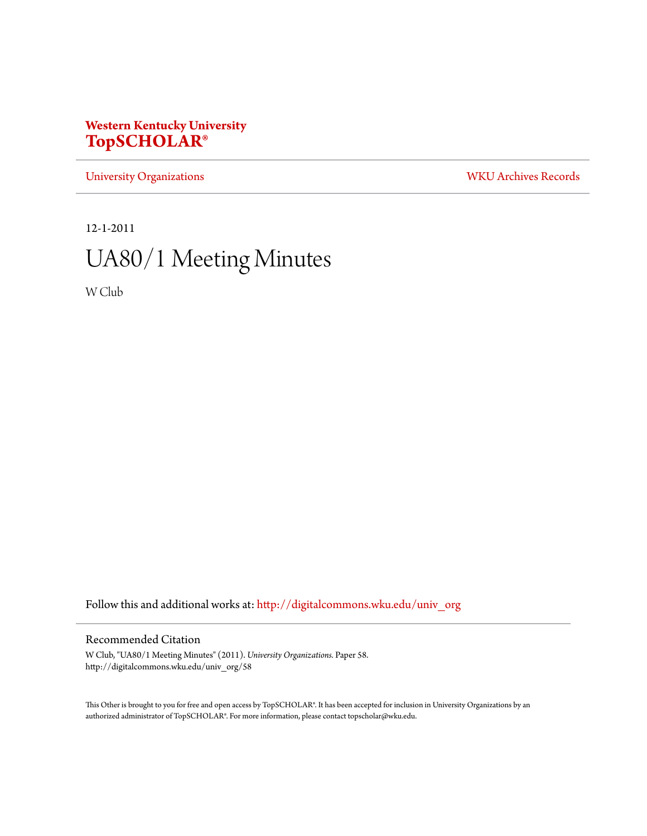# **Western Kentucky University [TopSCHOLAR®](http://digitalcommons.wku.edu?utm_source=digitalcommons.wku.edu%2Funiv_org%2F58&utm_medium=PDF&utm_campaign=PDFCoverPages)**

[University Organizations](http://digitalcommons.wku.edu/univ_org?utm_source=digitalcommons.wku.edu%2Funiv_org%2F58&utm_medium=PDF&utm_campaign=PDFCoverPages) [WKU Archives Records](http://digitalcommons.wku.edu/dlsc_ua_records?utm_source=digitalcommons.wku.edu%2Funiv_org%2F58&utm_medium=PDF&utm_campaign=PDFCoverPages)

12-1-2011

# UA80/1 Meeting Minutes

W Club

Follow this and additional works at: [http://digitalcommons.wku.edu/univ\\_org](http://digitalcommons.wku.edu/univ_org?utm_source=digitalcommons.wku.edu%2Funiv_org%2F58&utm_medium=PDF&utm_campaign=PDFCoverPages)

# Recommended Citation

W Club, "UA80/1 Meeting Minutes" (2011). *University Organizations.* Paper 58. http://digitalcommons.wku.edu/univ\_org/58

This Other is brought to you for free and open access by TopSCHOLAR®. It has been accepted for inclusion in University Organizations by an authorized administrator of TopSCHOLAR®. For more information, please contact topscholar@wku.edu.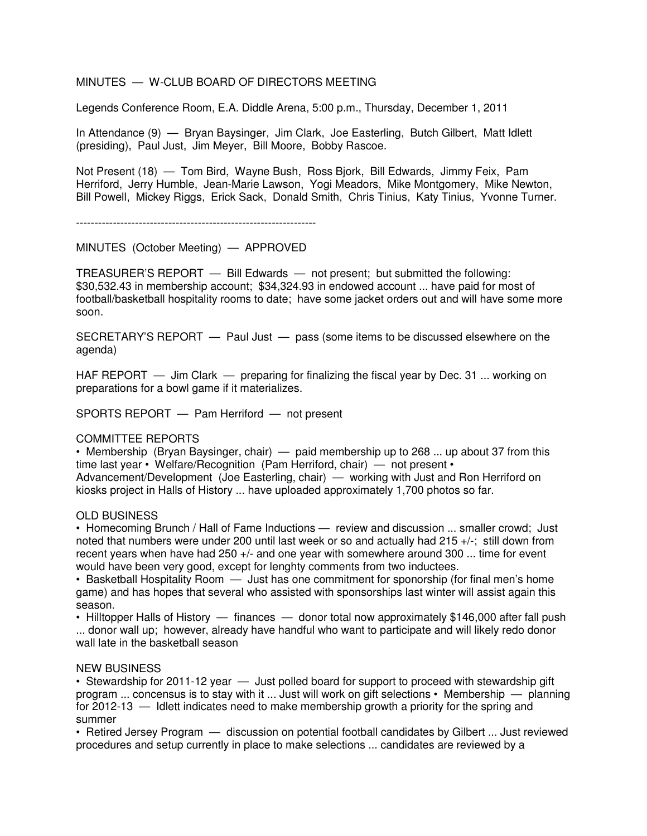# MINUTES — W-CLUB BOARD OF DIRECTORS MEETING

Legends Conference Room, E.A. Diddle Arena, 5:00 p.m., Thursday, December 1, 2011

In Attendance (9) — Bryan Baysinger, Jim Clark, Joe Easterling, Butch Gilbert, Matt Idlett (presiding), Paul Just, Jim Meyer, Bill Moore, Bobby Rascoe.

Not Present (18) — Tom Bird, Wayne Bush, Ross Bjork, Bill Edwards, Jimmy Feix, Pam Herriford, Jerry Humble, Jean-Marie Lawson, Yogi Meadors, Mike Montgomery, Mike Newton, Bill Powell, Mickey Riggs, Erick Sack, Donald Smith, Chris Tinius, Katy Tinius, Yvonne Turner.

-----------------------------------------------------------------

MINUTES (October Meeting) — APPROVED

TREASURER'S REPORT — Bill Edwards — not present; but submitted the following: \$30,532.43 in membership account; \$34,324.93 in endowed account ... have paid for most of football/basketball hospitality rooms to date; have some jacket orders out and will have some more soon.

SECRETARY'S REPORT — Paul Just — pass (some items to be discussed elsewhere on the agenda)

HAF REPORT — Jim Clark — preparing for finalizing the fiscal year by Dec. 31 ... working on preparations for a bowl game if it materializes.

SPORTS REPORT — Pam Herriford — not present

### COMMITTEE REPORTS

• Membership (Bryan Baysinger, chair) — paid membership up to 268 ... up about 37 from this time last year • Welfare/Recognition (Pam Herriford, chair) — not present • Advancement/Development (Joe Easterling, chair) — working with Just and Ron Herriford on kiosks project in Halls of History ... have uploaded approximately 1,700 photos so far.

### OLD BUSINESS

• Homecoming Brunch / Hall of Fame Inductions — review and discussion ... smaller crowd; Just noted that numbers were under 200 until last week or so and actually had 215 +/-; still down from recent years when have had 250 +/- and one year with somewhere around 300 ... time for event would have been very good, except for lenghty comments from two inductees.

• Basketball Hospitality Room — Just has one commitment for sponorship (for final men's home game) and has hopes that several who assisted with sponsorships last winter will assist again this season.

• Hilltopper Halls of History — finances — donor total now approximately \$146,000 after fall push ... donor wall up; however, already have handful who want to participate and will likely redo donor wall late in the basketball season

### NEW BUSINESS

• Stewardship for 2011-12 year — Just polled board for support to proceed with stewardship gift program ... concensus is to stay with it ... Just will work on gift selections • Membership — planning for 2012-13 — Idlett indicates need to make membership growth a priority for the spring and summer

• Retired Jersey Program — discussion on potential football candidates by Gilbert ... Just reviewed procedures and setup currently in place to make selections ... candidates are reviewed by a